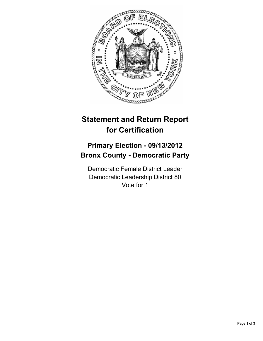

## **Statement and Return Report for Certification**

## **Primary Election - 09/13/2012 Bronx County - Democratic Party**

Democratic Female District Leader Democratic Leadership District 80 Vote for 1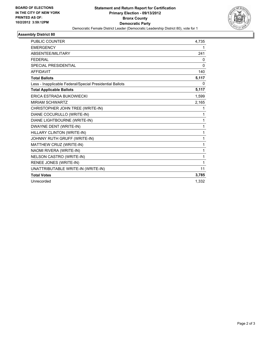

## **Assembly District 80**

| <b>PUBLIC COUNTER</b>                                    | 4,735    |
|----------------------------------------------------------|----------|
| <b>EMERGENCY</b>                                         | 1        |
| <b>ABSENTEE/MILITARY</b>                                 | 241      |
| <b>FEDERAL</b>                                           | 0        |
| <b>SPECIAL PRESIDENTIAL</b>                              | $\Omega$ |
| <b>AFFIDAVIT</b>                                         | 140      |
| <b>Total Ballots</b>                                     | 5,117    |
| Less - Inapplicable Federal/Special Presidential Ballots | 0        |
| <b>Total Applicable Ballots</b>                          | 5,117    |
| ERICA ESTRADA BUKOWIECKI                                 | 1,599    |
| <b>MIRIAM SCHWARTZ</b>                                   | 2,165    |
| CHRISTOPHER JOHN TREE (WRITE-IN)                         | 1        |
| DIANE COCURULLO (WRITE-IN)                               | 1        |
| DIANE LIGHTBOURNE (WRITE-IN)                             | 1        |
| DWAYNE DENT (WRITE-IN)                                   | 1        |
| HILLARY CLINTON (WRITE-IN)                               | 1        |
| JOHNNY RUTH GRUFF (WRITE-IN)                             | 1        |
| MATTHEW CRUZ (WRITE-IN)                                  | 1        |
| NAOMI RIVERA (WRITE-IN)                                  | 1        |
| NELSON CASTRO (WRITE-IN)                                 | 1        |
| RENEE JONES (WRITE-IN)                                   | 1        |
| UNATTRIBUTABLE WRITE-IN (WRITE-IN)                       | 11       |
| <b>Total Votes</b>                                       | 3,785    |
| Unrecorded                                               | 1,332    |